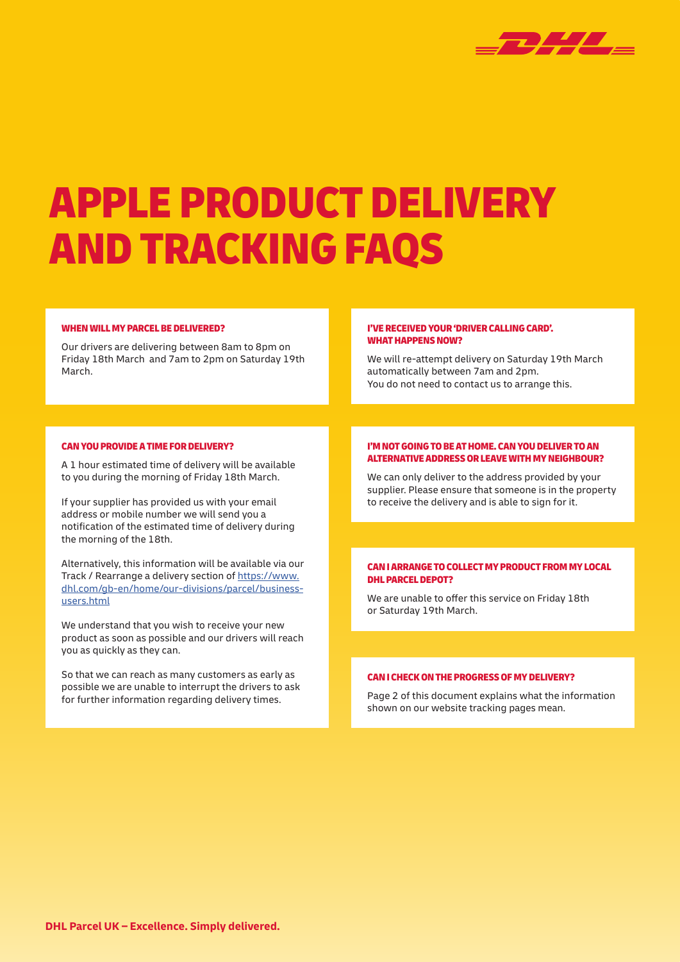

# APPLE PRODUCT DELIVERY AND TRACKING FAQS

#### WHEN WILL MY PARCEL BE DELIVERED?

Our drivers are delivering between 8am to 8pm on Friday 18th March and 7am to 2pm on Saturday 19th March.

#### I'VE RECEIVED YOUR 'DRIVER CALLING CARD'. WHAT HAPPENS NOW?

We will re-attempt delivery on Saturday 19th March automatically between 7am and 2pm. You do not need to contact us to arrange this.

# CAN YOU PROVIDE A TIME FOR DELIVERY?

A 1 hour estimated time of delivery will be available to you during the morning of Friday 18th March.

If your supplier has provided us with your email address or mobile number we will send you a notification of the estimated time of delivery during the morning of the 18th.

Alternatively, this information will be available via our Track / Rearrange a delivery section of [https://www.](https://www.dhl.com/gb-en/home/our-divisions/parcel/business-users.html) [dhl.com/gb-en/home/our-divisions/parcel/business](https://www.dhl.com/gb-en/home/our-divisions/parcel/business-users.html)[users.html](https://www.dhl.com/gb-en/home/our-divisions/parcel/business-users.html)

We understand that you wish to receive your new product as soon as possible and our drivers will reach you as quickly as they can.

So that we can reach as many customers as early as possible we are unable to interrupt the drivers to ask for further information regarding delivery times.

#### I'M NOT GOING TO BE AT HOME. CAN YOU DELIVER TO AN ALTERNATIVE ADDRESS OR LEAVE WITH MY NEIGHBOUR?

We can only deliver to the address provided by your supplier. Please ensure that someone is in the property to receive the delivery and is able to sign for it.

#### CAN I ARRANGE TO COLLECT MY PRODUCT FROM MY LOCAL DHL PARCEL DEPOT?

We are unable to offer this service on Friday 18th or Saturday 19th March.

#### CAN I CHECK ON THE PROGRESS OF MY DELIVERY?

Page 2 of this document explains what the information shown on our website tracking pages mean.